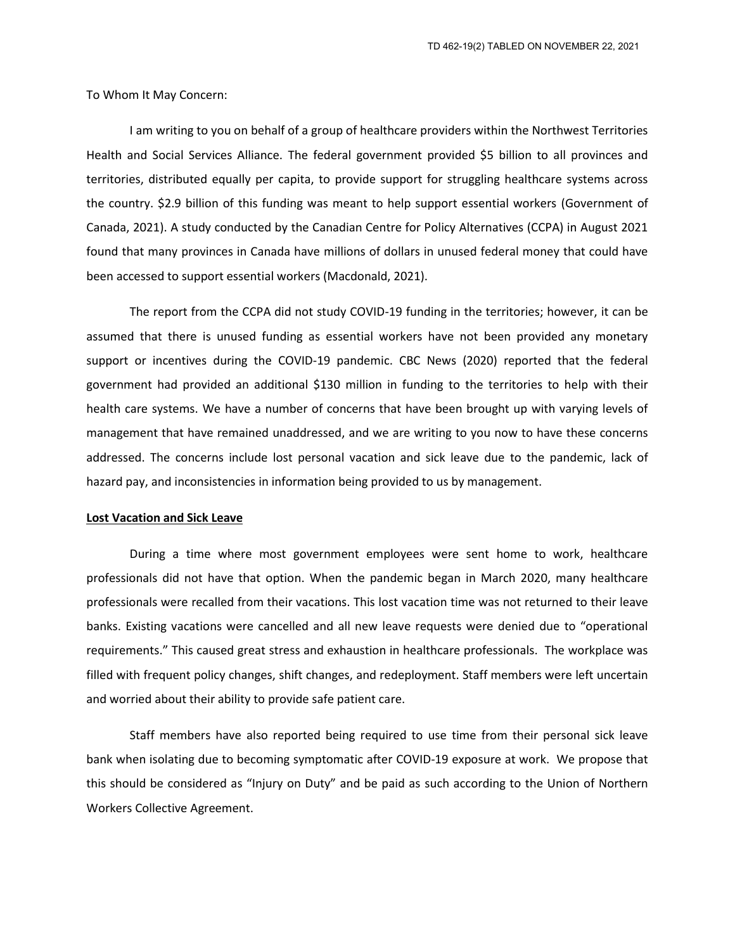To Whom It May Concern:

I am writing to you on behalf of a group of healthcare providers within the Northwest Territories Health and Social Services Alliance. The federal government provided \$5 billion to all provinces and territories, distributed equally per capita, to provide support for struggling healthcare systems across the country. \$2.9 billion of this funding was meant to help support essential workers (Government of Canada, 2021). A study conducted by the Canadian Centre for Policy Alternatives (CCPA) in August 2021 found that many provinces in Canada have millions of dollars in unused federal money that could have been accessed to support essential workers (Macdonald, 2021).

The report from the CCPA did not study COVID-19 funding in the territories; however, it can be assumed that there is unused funding as essential workers have not been provided any monetary support or incentives during the COVID-19 pandemic. CBC News (2020) reported that the federal government had provided an additional \$130 million in funding to the territories to help with their health care systems. We have a number of concerns that have been brought up with varying levels of management that have remained unaddressed, and we are writing to you now to have these concerns addressed. The concerns include lost personal vacation and sick leave due to the pandemic, lack of hazard pay, and inconsistencies in information being provided to us by management.

## **Lost Vacation and Sick Leave**

During a time where most government employees were sent home to work, healthcare professionals did not have that option. When the pandemic began in March 2020, many healthcare professionals were recalled from their vacations. This lost vacation time was not returned to their leave banks. Existing vacations were cancelled and all new leave requests were denied due to "operational requirements." This caused great stress and exhaustion in healthcare professionals. The workplace was filled with frequent policy changes, shift changes, and redeployment. Staff members were left uncertain and worried about their ability to provide safe patient care.

Staff members have also reported being required to use time from their personal sick leave bank when isolating due to becoming symptomatic after COVID-19 exposure at work. We propose that this should be considered as "Injury on Duty" and be paid as such according to the Union of Northern Workers Collective Agreement.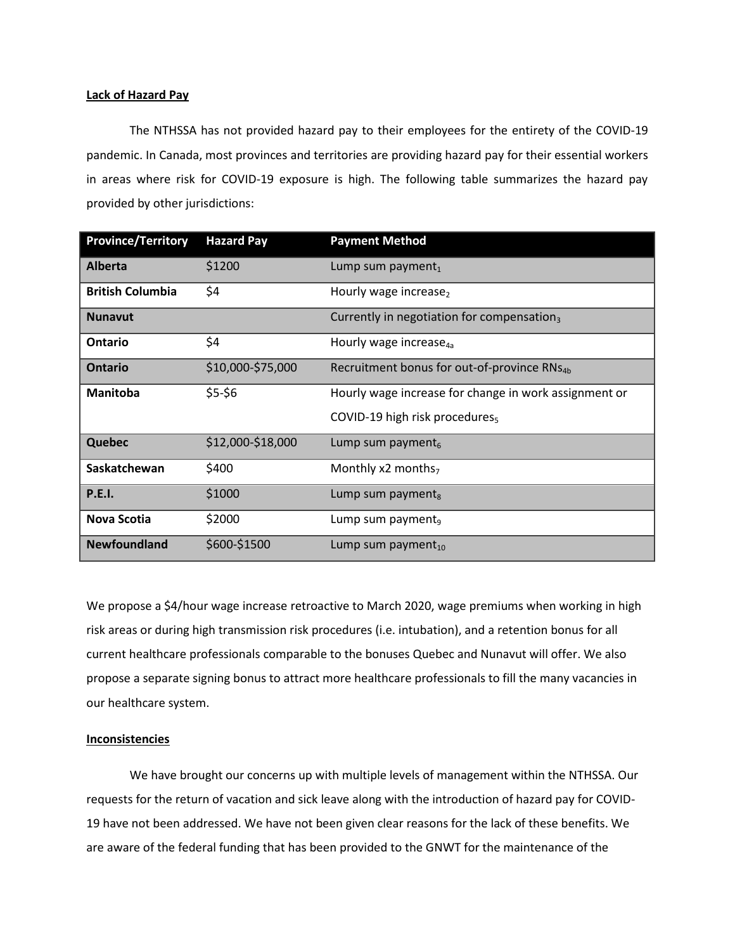#### **Lack of Hazard Pay**

The NTHSSA has not provided hazard pay to their employees for the entirety of the COVID-19 pandemic. In Canada, most provinces and territories are providing hazard pay for their essential workers in areas where risk for COVID-19 exposure is high. The following table summarizes the hazard pay provided by other jurisdictions:

| <b>Province/Territory</b> | <b>Hazard Pay</b> | <b>Payment Method</b>                                   |
|---------------------------|-------------------|---------------------------------------------------------|
| <b>Alberta</b>            | \$1200            | Lump sum payment,                                       |
| <b>British Columbia</b>   | \$4               | Hourly wage increase <sub>2</sub>                       |
| <b>Nunavut</b>            |                   | Currently in negotiation for compensation,              |
| Ontario                   | \$4               | Hourly wage increase <sub>4a</sub>                      |
| <b>Ontario</b>            | \$10,000-\$75,000 | Recruitment bonus for out-of-province RNs <sub>4b</sub> |
| <b>Manitoba</b>           | $$5-$6$           | Hourly wage increase for change in work assignment or   |
|                           |                   | COVID-19 high risk procedures <sub>5</sub>              |
| <b>Quebec</b>             | \$12,000-\$18,000 | Lump sum payment <sub>6</sub>                           |
| Saskatchewan              | \$400             | Monthly $x2$ months <sub>7</sub>                        |
| <b>P.E.I.</b>             | \$1000            | Lump sum payment $_{8}$                                 |
| Nova Scotia               | \$2000            | Lump sum payment <sub>9</sub>                           |
| <b>Newfoundland</b>       | \$600-\$1500      | Lump sum payment $_{10}$                                |

We propose a \$4/hour wage increase retroactive to March 2020, wage premiums when working in high risk areas or during high transmission risk procedures (i.e. intubation), and a retention bonus for all current healthcare professionals comparable to the bonuses Quebec and Nunavut will offer. We also propose a separate signing bonus to attract more healthcare professionals to fill the many vacancies in our healthcare system.

### **Inconsistencies**

We have brought our concerns up with multiple levels of management within the NTHSSA. Our requests for the return of vacation and sick leave along with the introduction of hazard pay for COVID-19 have not been addressed. We have not been given clear reasons for the lack of these benefits. We are aware of the federal funding that has been provided to the GNWT for the maintenance of the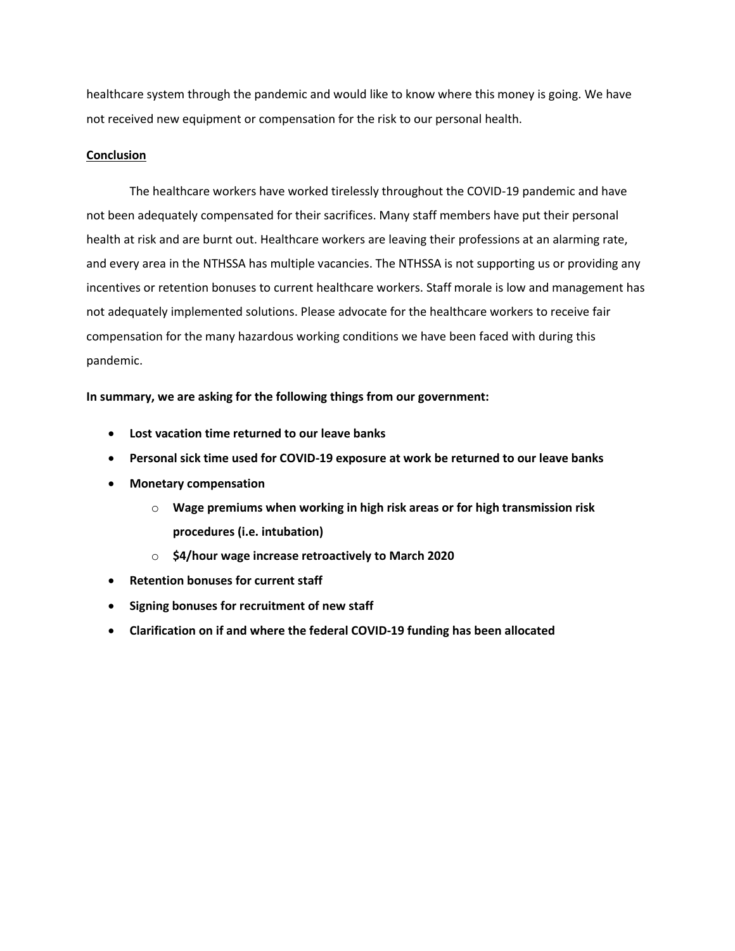healthcare system through the pandemic and would like to know where this money is going. We have not received new equipment or compensation for the risk to our personal health.

# **Conclusion**

The healthcare workers have worked tirelessly throughout the COVID-19 pandemic and have not been adequately compensated for their sacrifices. Many staff members have put their personal health at risk and are burnt out. Healthcare workers are leaving their professions at an alarming rate, and every area in the NTHSSA has multiple vacancies. The NTHSSA is not supporting us or providing any incentives or retention bonuses to current healthcare workers. Staff morale is low and management has not adequately implemented solutions. Please advocate for the healthcare workers to receive fair compensation for the many hazardous working conditions we have been faced with during this pandemic.

**In summary, we are asking for the following things from our government:**

- **Lost vacation time returned to our leave banks**
- **Personal sick time used for COVID-19 exposure at work be returned to our leave banks**
- **Monetary compensation**
	- o **Wage premiums when working in high risk areas or for high transmission risk procedures (i.e. intubation)**
	- o **\$4/hour wage increase retroactively to March 2020**
- **•** Retention bonuses for current staff
- **Signing bonuses for recruitment of new staff**
- **Clarification on if and where the federal COVID-19 funding has been allocated**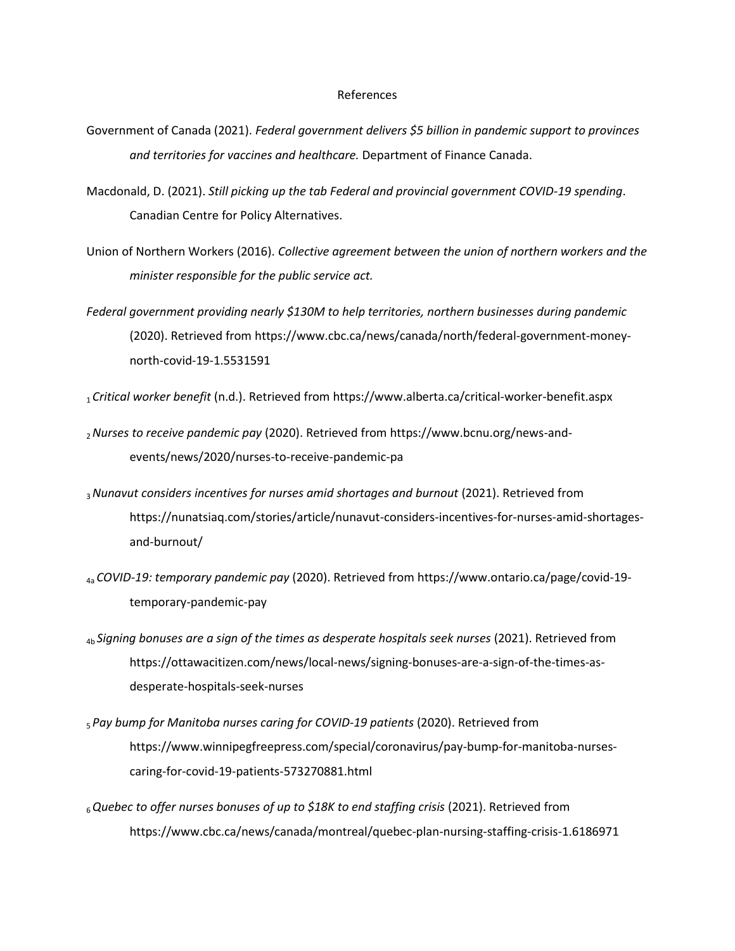#### References

- Government of Canada (2021). *Federal government delivers \$5 billion in pandemic support to provinces and territories for vaccines and healthcare.* Department of Finance Canada.
- Macdonald, D. (2021). *Still picking up the tab Federal and provincial government COVID-19 spending*. Canadian Centre for Policy Alternatives.
- Union of Northern Workers (2016). *Collective agreement between the union of northern workers and the minister responsible for the public service act.*
- *Federal government providing nearly \$130M to help territories, northern businesses during pandemic* (2020). Retrieved from https://www.cbc.ca/news/canada/north/federal-government-moneynorth-covid-19-1.5531591
- <sup>1</sup> *Critical worker benefit* (n.d.). Retrieved from https://www.alberta.ca/critical-worker-benefit.aspx
- <sup>2</sup>*Nurses to receive pandemic pay* (2020). Retrieved from https://www.bcnu.org/news-andevents/news/2020/nurses-to-receive-pandemic-pa
- <sup>3</sup>*Nunavut considers incentives for nurses amid shortages and burnout* (2021). Retrieved from https://nunatsiaq.com/stories/article/nunavut-considers-incentives-for-nurses-amid-shortagesand-burnout/
- 4a *COVID-19: temporary pandemic pay* (2020). Retrieved from https://www.ontario.ca/page/covid-19 temporary-pandemic-pay
- 4b *Signing bonuses are a sign of the times as desperate hospitals seek nurses* (2021). Retrieved from https://ottawacitizen.com/news/local-news/signing-bonuses-are-a-sign-of-the-times-asdesperate-hospitals-seek-nurses
- <sup>5</sup> *Pay bump for Manitoba nurses caring for COVID-19 patients* (2020). Retrieved from https://www.winnipegfreepress.com/special/coronavirus/pay-bump-for-manitoba-nursescaring-for-covid-19-patients-573270881.html
- <sup>6</sup>*Quebec to offer nurses bonuses of up to \$18K to end staffing crisis* (2021). Retrieved from https://www.cbc.ca/news/canada/montreal/quebec-plan-nursing-staffing-crisis-1.6186971